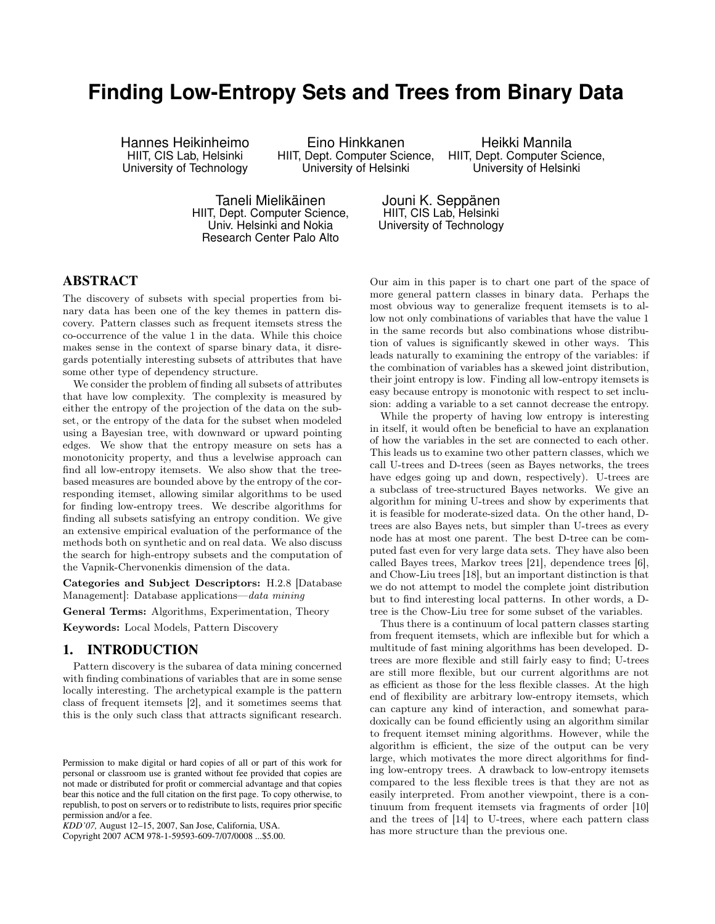# **Finding Low-Entropy Sets and Trees from Binary Data**

Hannes Heikinheimo HIIT, CIS Lab, Helsinki University of Technology

Eino Hinkkanen HIIT, Dept. Computer Science, University of Helsinki

Heikki Mannila HIIT, Dept. Computer Science, University of Helsinki

Taneli Mielikäinen HIIT, Dept. Computer Science, Univ. Helsinki and Nokia Research Center Palo Alto

Jouni K. Seppänen HIIT, CIS Lab, Helsinki University of Technology

# ABSTRACT

The discovery of subsets with special properties from binary data has been one of the key themes in pattern discovery. Pattern classes such as frequent itemsets stress the co-occurrence of the value 1 in the data. While this choice makes sense in the context of sparse binary data, it disregards potentially interesting subsets of attributes that have some other type of dependency structure.

We consider the problem of finding all subsets of attributes that have low complexity. The complexity is measured by either the entropy of the projection of the data on the subset, or the entropy of the data for the subset when modeled using a Bayesian tree, with downward or upward pointing edges. We show that the entropy measure on sets has a monotonicity property, and thus a levelwise approach can find all low-entropy itemsets. We also show that the treebased measures are bounded above by the entropy of the corresponding itemset, allowing similar algorithms to be used for finding low-entropy trees. We describe algorithms for finding all subsets satisfying an entropy condition. We give an extensive empirical evaluation of the performance of the methods both on synthetic and on real data. We also discuss the search for high-entropy subsets and the computation of the Vapnik-Chervonenkis dimension of the data.

Categories and Subject Descriptors: H.2.8 [Database Management]: Database applications—data mining

General Terms: Algorithms, Experimentation, Theory

Keywords: Local Models, Pattern Discovery

### 1. INTRODUCTION

Pattern discovery is the subarea of data mining concerned with finding combinations of variables that are in some sense locally interesting. The archetypical example is the pattern class of frequent itemsets [2], and it sometimes seems that this is the only such class that attracts significant research.

Copyright 2007 ACM 978-1-59593-609-7/07/0008 ...\$5.00.

Our aim in this paper is to chart one part of the space of more general pattern classes in binary data. Perhaps the most obvious way to generalize frequent itemsets is to allow not only combinations of variables that have the value 1 in the same records but also combinations whose distribution of values is significantly skewed in other ways. This leads naturally to examining the entropy of the variables: if the combination of variables has a skewed joint distribution, their joint entropy is low. Finding all low-entropy itemsets is easy because entropy is monotonic with respect to set inclusion: adding a variable to a set cannot decrease the entropy.

While the property of having low entropy is interesting in itself, it would often be beneficial to have an explanation of how the variables in the set are connected to each other. This leads us to examine two other pattern classes, which we call U-trees and D-trees (seen as Bayes networks, the trees have edges going up and down, respectively). U-trees are a subclass of tree-structured Bayes networks. We give an algorithm for mining U-trees and show by experiments that it is feasible for moderate-sized data. On the other hand, Dtrees are also Bayes nets, but simpler than U-trees as every node has at most one parent. The best D-tree can be computed fast even for very large data sets. They have also been called Bayes trees, Markov trees [21], dependence trees [6], and Chow-Liu trees [18], but an important distinction is that we do not attempt to model the complete joint distribution but to find interesting local patterns. In other words, a Dtree is the Chow-Liu tree for some subset of the variables.

Thus there is a continuum of local pattern classes starting from frequent itemsets, which are inflexible but for which a multitude of fast mining algorithms has been developed. Dtrees are more flexible and still fairly easy to find; U-trees are still more flexible, but our current algorithms are not as efficient as those for the less flexible classes. At the high end of flexibility are arbitrary low-entropy itemsets, which can capture any kind of interaction, and somewhat paradoxically can be found efficiently using an algorithm similar to frequent itemset mining algorithms. However, while the algorithm is efficient, the size of the output can be very large, which motivates the more direct algorithms for finding low-entropy trees. A drawback to low-entropy itemsets compared to the less flexible trees is that they are not as easily interpreted. From another viewpoint, there is a continuum from frequent itemsets via fragments of order [10] and the trees of [14] to U-trees, where each pattern class has more structure than the previous one.

Permission to make digital or hard copies of all or part of this work for personal or classroom use is granted without fee provided that copies are not made or distributed for profit or commercial advantage and that copies bear this notice and the full citation on the first page. To copy otherwise, to republish, to post on servers or to redistribute to lists, requires prior specific permission and/or a fee.

*KDD'07,* August 12–15, 2007, San Jose, California, USA.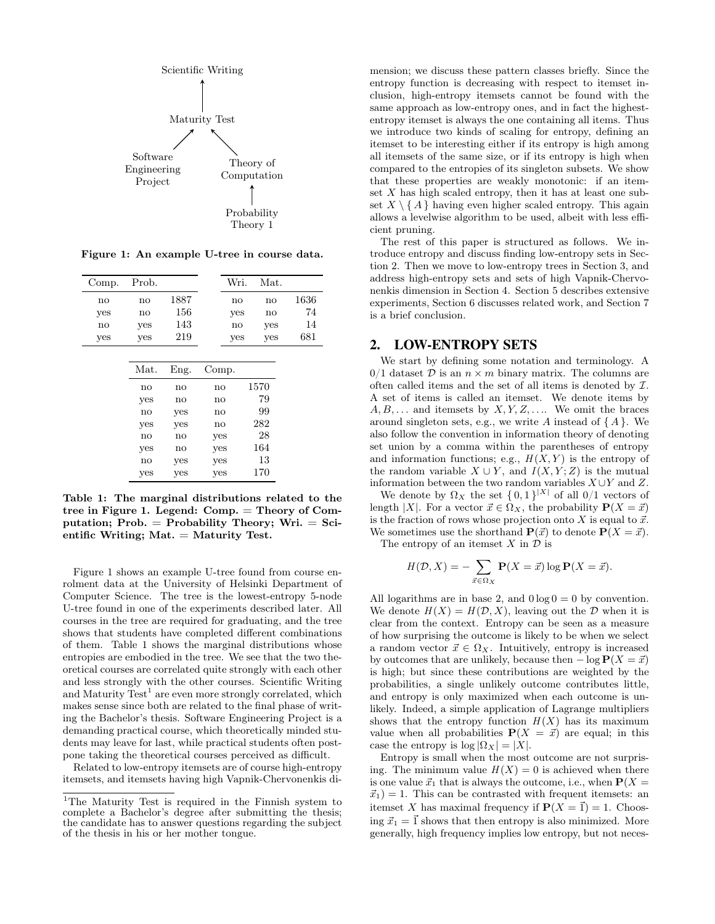

Figure 1: An example U-tree in course data.

| Comp. | Prob. |      |       | Wri. | Mat. |      |
|-------|-------|------|-------|------|------|------|
| no    | no    | 1887 |       | no   | no   | 1636 |
| yes   | no    | 156  |       | yes  | no   | 74   |
| no    | yes   | 143  |       | no   | yes  | 14   |
| yes   | yes   | 219  |       | yes  | yes  | 681  |
|       |       |      |       |      |      |      |
|       | Mat.  | Eng. | Comp. |      |      |      |
|       | no    | no   | no    |      | 1570 |      |
|       | yes   | no   | no    |      | 79   |      |
|       | no    | yes  | no    |      | 99   |      |
|       | yes   | yes  | no    |      | 282  |      |
|       | no    | no   | yes   |      | 28   |      |
|       | yes   | no   | yes   |      | 164  |      |
|       | no    | yes  | yes   |      | 13   |      |
|       | yes   | yes  | yes   |      | 170  |      |
|       |       |      |       |      |      |      |

Table 1: The marginal distributions related to the tree in Figure 1. Legend: Comp. = Theory of Computation; Prob.  $=$  Probability Theory; Wri.  $=$  Scientific Writing; Mat.  $=$  Maturity Test.

Figure 1 shows an example U-tree found from course enrolment data at the University of Helsinki Department of Computer Science. The tree is the lowest-entropy 5-node U-tree found in one of the experiments described later. All courses in the tree are required for graduating, and the tree shows that students have completed different combinations of them. Table 1 shows the marginal distributions whose entropies are embodied in the tree. We see that the two theoretical courses are correlated quite strongly with each other and less strongly with the other courses. Scientific Writing and Maturity  $Test<sup>1</sup>$  are even more strongly correlated, which makes sense since both are related to the final phase of writing the Bachelor's thesis. Software Engineering Project is a demanding practical course, which theoretically minded students may leave for last, while practical students often postpone taking the theoretical courses perceived as difficult.

Related to low-entropy itemsets are of course high-entropy itemsets, and itemsets having high Vapnik-Chervonenkis dimension; we discuss these pattern classes briefly. Since the entropy function is decreasing with respect to itemset inclusion, high-entropy itemsets cannot be found with the same approach as low-entropy ones, and in fact the highestentropy itemset is always the one containing all items. Thus we introduce two kinds of scaling for entropy, defining an itemset to be interesting either if its entropy is high among all itemsets of the same size, or if its entropy is high when compared to the entropies of its singleton subsets. We show that these properties are weakly monotonic: if an itemset  $X$  has high scaled entropy, then it has at least one subset  $X \setminus \{A\}$  having even higher scaled entropy. This again allows a levelwise algorithm to be used, albeit with less efficient pruning.

The rest of this paper is structured as follows. We introduce entropy and discuss finding low-entropy sets in Section 2. Then we move to low-entropy trees in Section 3, and address high-entropy sets and sets of high Vapnik-Chervonenkis dimension in Section 4. Section 5 describes extensive experiments, Section 6 discusses related work, and Section 7 is a brief conclusion.

### 2. LOW-ENTROPY SETS

We start by defining some notation and terminology. A  $0/1$  dataset  $D$  is an  $n \times m$  binary matrix. The columns are often called items and the set of all items is denoted by I. A set of items is called an itemset. We denote items by  $A, B, \ldots$  and itemsets by  $X, Y, Z, \ldots$ . We omit the braces around singleton sets, e.g., we write  $A$  instead of  $\{A\}$ . We also follow the convention in information theory of denoting set union by a comma within the parentheses of entropy and information functions; e.g.,  $H(X, Y)$  is the entropy of the random variable  $X \cup Y$ , and  $I(X, Y; Z)$  is the mutual information between the two random variables  $X \cup Y$  and Z.

We denote by  $\Omega_X$  the set  $\{0,1\}^{|X|}$  of all  $0/1$  vectors of length |X|. For a vector  $\vec{x} \in \Omega_X$ , the probability  $\mathbf{P}(X = \vec{x})$ is the fraction of rows whose projection onto X is equal to  $\vec{x}$ . We sometimes use the shorthand  $\mathbf{P}(\vec{x})$  to denote  $\mathbf{P}(X = \vec{x})$ .

The entropy of an itemset  $X$  in  $D$  is

$$
H(\mathcal{D}, X) = -\sum_{\vec{x} \in \Omega_X} \mathbf{P}(X = \vec{x}) \log \mathbf{P}(X = \vec{x}).
$$

All logarithms are in base 2, and  $0 \log 0 = 0$  by convention. We denote  $H(X) = H(\mathcal{D}, X)$ , leaving out the  $\mathcal D$  when it is clear from the context. Entropy can be seen as a measure of how surprising the outcome is likely to be when we select a random vector  $\vec{x} \in \Omega_X$ . Intuitively, entropy is increased by outcomes that are unlikely, because then  $-\log P(X = \vec{x})$ is high; but since these contributions are weighted by the probabilities, a single unlikely outcome contributes little, and entropy is only maximized when each outcome is unlikely. Indeed, a simple application of Lagrange multipliers shows that the entropy function  $H(X)$  has its maximum value when all probabilities  $P(X = \vec{x})$  are equal; in this case the entropy is  $log |\Omega_X| = |X|$ .

Entropy is small when the most outcome are not surprising. The minimum value  $H(X) = 0$  is achieved when there is one value  $\vec{x}_1$  that is always the outcome, i.e., when  $P(X =$  $\vec{x}_1$ ) = 1. This can be contrasted with frequent itemsets: an itemset X has maximal frequency if  $P(X = \vec{1}) = 1$ . Choosing  $\vec{x}_1 = \vec{1}$  shows that then entropy is also minimized. More generally, high frequency implies low entropy, but not neces-

<sup>1</sup>The Maturity Test is required in the Finnish system to complete a Bachelor's degree after submitting the thesis; the candidate has to answer questions regarding the subject of the thesis in his or her mother tongue.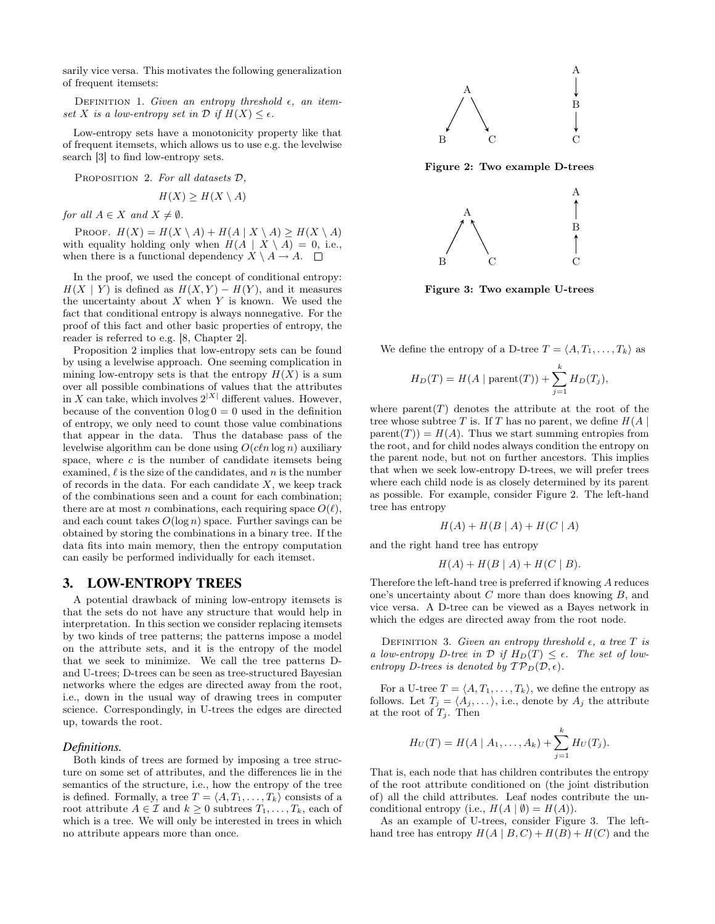sarily vice versa. This motivates the following generalization of frequent itemsets:

DEFINITION 1. Given an entropy threshold  $\epsilon$ , an itemset X is a low-entropy set in  $\mathcal D$  if  $H(X) \leq \epsilon$ .

Low-entropy sets have a monotonicity property like that of frequent itemsets, which allows us to use e.g. the levelwise search [3] to find low-entropy sets.

PROPOSITION 2. For all datasets  $\mathcal{D}$ ,

$$
H(X) \ge H(X \setminus A)
$$

for all  $A \in X$  and  $X \neq \emptyset$ .

PROOF.  $H(X) = H(X \setminus A) + H(A \mid X \setminus A) \geq H(X \setminus A)$ with equality holding only when  $H(A \mid X \setminus A) = 0$ , i.e., when there is a functional dependency  $X \setminus A \to A$ .  $\square$ 

In the proof, we used the concept of conditional entropy:  $H(X | Y)$  is defined as  $H(X, Y) - H(Y)$ , and it measures the uncertainty about  $X$  when  $Y$  is known. We used the fact that conditional entropy is always nonnegative. For the proof of this fact and other basic properties of entropy, the reader is referred to e.g. [8, Chapter 2].

Proposition 2 implies that low-entropy sets can be found by using a levelwise approach. One seeming complication in mining low-entropy sets is that the entropy  $H(X)$  is a sum over all possible combinations of values that the attributes in X can take, which involves  $2^{|X|}$  different values. However, because of the convention  $0 \log 0 = 0$  used in the definition of entropy, we only need to count those value combinations that appear in the data. Thus the database pass of the levelwise algorithm can be done using  $O(\text{cln} \log n)$  auxiliary space, where  $c$  is the number of candidate itemsets being examined,  $\ell$  is the size of the candidates, and n is the number of records in the data. For each candidate  $X$ , we keep track of the combinations seen and a count for each combination; there are at most n combinations, each requiring space  $O(\ell)$ , and each count takes  $O(\log n)$  space. Further savings can be obtained by storing the combinations in a binary tree. If the data fits into main memory, then the entropy computation can easily be performed individually for each itemset.

# 3. LOW-ENTROPY TREES

A potential drawback of mining low-entropy itemsets is that the sets do not have any structure that would help in interpretation. In this section we consider replacing itemsets by two kinds of tree patterns; the patterns impose a model on the attribute sets, and it is the entropy of the model that we seek to minimize. We call the tree patterns Dand U-trees; D-trees can be seen as tree-structured Bayesian networks where the edges are directed away from the root, i.e., down in the usual way of drawing trees in computer science. Correspondingly, in U-trees the edges are directed up, towards the root.

### *Definitions.*

Both kinds of trees are formed by imposing a tree structure on some set of attributes, and the differences lie in the semantics of the structure, i.e., how the entropy of the tree is defined. Formally, a tree  $T = \langle A, T_1, \ldots, T_k \rangle$  consists of a root attribute  $A \in \mathcal{I}$  and  $k \geq 0$  subtrees  $T_1, \ldots, T_k$ , each of which is a tree. We will only be interested in trees in which no attribute appears more than once.



Figure 2: Two example D-trees



Figure 3: Two example U-trees

We define the entropy of a D-tree  $T = \langle A, T_1, \ldots, T_k \rangle$  as

$$
H_D(T) = H(A | parent(T)) + \sum_{j=1}^{k} H_D(T_j),
$$

where  $\text{parent}(T)$  denotes the attribute at the root of the tree whose subtree T is. If T has no parent, we define  $H(A)$  $parent(T)) = H(A)$ . Thus we start summing entropies from the root, and for child nodes always condition the entropy on the parent node, but not on further ancestors. This implies that when we seek low-entropy D-trees, we will prefer trees where each child node is as closely determined by its parent as possible. For example, consider Figure 2. The left-hand tree has entropy

$$
H(A) + H(B \mid A) + H(C \mid A)
$$

and the right hand tree has entropy

$$
H(A) + H(B \mid A) + H(C \mid B)
$$

Therefore the left-hand tree is preferred if knowing A reduces one's uncertainty about C more than does knowing B, and vice versa. A D-tree can be viewed as a Bayes network in which the edges are directed away from the root node.

DEFINITION 3. Given an entropy threshold  $\epsilon$ , a tree T is a low-entropy D-tree in  $\mathcal D$  if  $H_D(T) \leq \epsilon$ . The set of lowentropy D-trees is denoted by  $\mathcal{TP}_D(\mathcal{D}, \epsilon)$ .

For a U-tree  $T = \langle A, T_1, \ldots, T_k \rangle$ , we define the entropy as follows. Let  $T_j = \langle A_j , \ldots \rangle$ , i.e., denote by  $A_j$  the attribute at the root of  $T_j$ . Then

$$
H_U(T) = H(A | A_1, ..., A_k) + \sum_{j=1}^k H_U(T_j).
$$

That is, each node that has children contributes the entropy of the root attribute conditioned on (the joint distribution of) all the child attributes. Leaf nodes contribute the unconditional entropy (i.e.,  $H(A | \emptyset) = H(A)$ ).

As an example of U-trees, consider Figure 3. The lefthand tree has entropy  $H(A | B, C) + H(B) + H(C)$  and the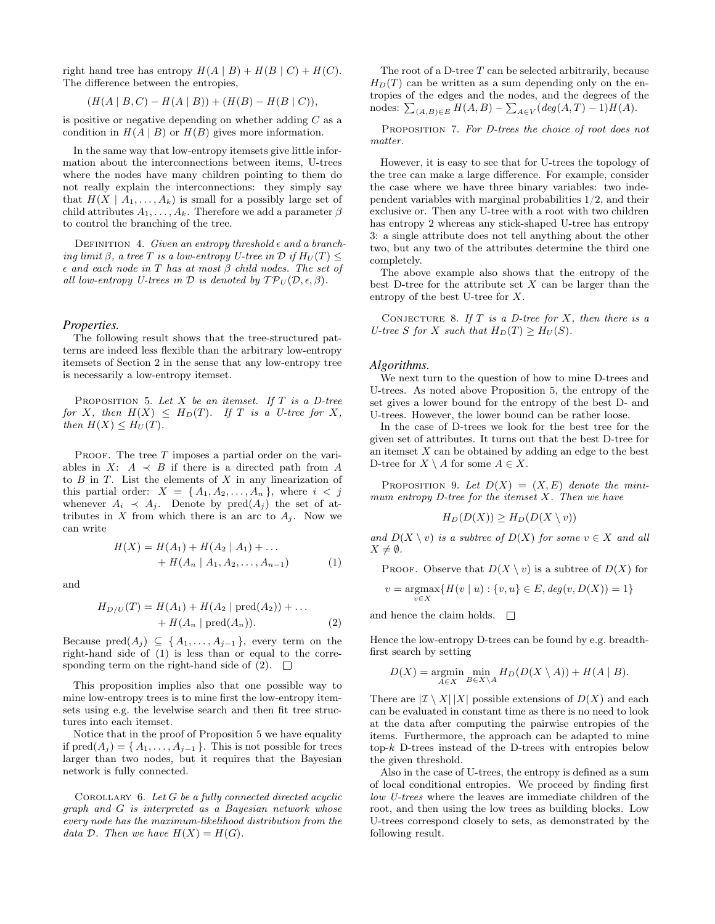right hand tree has entropy  $H(A | B) + H(B | C) + H(C)$ . The difference between the entropies,

$$
(H(A | B, C) – H(A | B)) + (H(B) – H(B | C)),
$$

is positive or negative depending on whether adding C as a condition in  $H(A | B)$  or  $H(B)$  gives more information.

In the same way that low-entropy itemsets give little information about the interconnections between items, U-trees where the nodes have many children pointing to them do not really explain the interconnections: they simply say that  $H(X \mid A_1, \ldots, A_k)$  is small for a possibly large set of child attributes  $A_1, \ldots, A_k$ . Therefore we add a parameter  $\beta$ to control the branching of the tree.

DEFINITION 4. Given an entropy threshold  $\epsilon$  and a branching limit β, a tree T is a low-entropy U-tree in  $\mathcal D$  if  $H_U(T) \leq$  $\epsilon$  and each node in T has at most  $\beta$  child nodes. The set of all low-entropy U-trees in  $\mathcal D$  is denoted by  $\mathcal{TP}_U(\mathcal D, \epsilon, \beta)$ .

#### *Properties.*

The following result shows that the tree-structured patterns are indeed less flexible than the arbitrary low-entropy itemsets of Section 2 in the sense that any low-entropy tree is necessarily a low-entropy itemset.

PROPOSITION 5. Let  $X$  be an itemset. If  $T$  is a D-tree for X, then  $H(X) \leq H_D(T)$ . If T is a U-tree for X, then  $H(X) \leq H_U(T)$ .

PROOF. The tree  $T$  imposes a partial order on the variables in X:  $A \prec B$  if there is a directed path from A to  $B$  in  $T$ . List the elements of  $X$  in any linearization of this partial order:  $X = \{A_1, A_2, \ldots, A_n\}$ , where  $i < j$ whenever  $A_i \prec A_j$ . Denote by  $pred(A_j)$  the set of attributes in X from which there is an arc to  $A_j$ . Now we can write

$$
H(X) = H(A_1) + H(A_2 | A_1) + \dots + H(A_n | A_1, A_2, \dots, A_{n-1})
$$
(1)

and

$$
H_{D/U}(T) = H(A_1) + H(A_2 | \text{pred}(A_2)) + ... + H(A_n | \text{pred}(A_n)).
$$
 (2)

Because pred $(A_j) \subseteq \{A_1, \ldots, A_{j-1}\}$ , every term on the right-hand side of (1) is less than or equal to the corresponding term on the right-hand side of (2).  $\Box$ 

This proposition implies also that one possible way to mine low-entropy trees is to mine first the low-entropy itemsets using e.g. the levelwise search and then fit tree structures into each itemset.

Notice that in the proof of Proposition 5 we have equality if  $pred(A_i) = \{A_1, \ldots, A_{i-1}\}\.$  This is not possible for trees larger than two nodes, but it requires that the Bayesian network is fully connected.

COROLLARY 6. Let  $G$  be a fully connected directed acyclic graph and G is interpreted as a Bayesian network whose every node has the maximum-likelihood distribution from the data D. Then we have  $H(X) = H(G)$ .

The root of a D-tree  $T$  can be selected arbitrarily, because  $H_D(T)$  can be written as a sum depending only on the entropies of the edges and the nodes, and the degrees of the nodes:  $\sum_{(A,B)\in E} H(A, B) - \sum_{A\in V} (deg(A, T) - 1)H(A)$ .

PROPOSITION 7. For D-trees the choice of root does not matter.

However, it is easy to see that for U-trees the topology of the tree can make a large difference. For example, consider the case where we have three binary variables: two independent variables with marginal probabilities 1/2, and their exclusive or. Then any U-tree with a root with two children has entropy 2 whereas any stick-shaped U-tree has entropy 3: a single attribute does not tell anything about the other two, but any two of the attributes determine the third one completely.

The above example also shows that the entropy of the best D-tree for the attribute set  $X$  can be larger than the entropy of the best U-tree for X.

CONJECTURE 8. If  $T$  is a D-tree for  $X$ , then there is a U-tree S for X such that  $H_D(T) \geq H_U(S)$ .

### *Algorithms.*

We next turn to the question of how to mine D-trees and U-trees. As noted above Proposition 5, the entropy of the set gives a lower bound for the entropy of the best D- and U-trees. However, the lower bound can be rather loose.

In the case of D-trees we look for the best tree for the given set of attributes. It turns out that the best D-tree for an itemset X can be obtained by adding an edge to the best D-tree for  $X \setminus A$  for some  $A \in X$ .

PROPOSITION 9. Let  $D(X) = (X, E)$  denote the minimum entropy  $D$ -tree for the itemset  $X$ . Then we have

$$
H_D(D(X)) \ge H_D(D(X \setminus v))
$$

and  $D(X \setminus v)$  is a subtree of  $D(X)$  for some  $v \in X$  and all  $X \neq \emptyset$ .

PROOF. Observe that  $D(X \setminus v)$  is a subtree of  $D(X)$  for

$$
v = \underset{v \in X}{\text{argmax}} \{ H(v \mid u) : \{v, u\} \in E, \deg(v, D(X)) = 1 \}
$$

and hence the claim holds.  $\square$ 

Hence the low-entropy D-trees can be found by e.g. breadthfirst search by setting

$$
D(X) = \underset{A \in X}{\text{argmin}} \ \underset{B \in X \setminus A}{\text{min}} H_D(D(X \setminus A)) + H(A \mid B).
$$

There are  $|\mathcal{I} \setminus X||X|$  possible extensions of  $D(X)$  and each can be evaluated in constant time as there is no need to look at the data after computing the pairwise entropies of the items. Furthermore, the approach can be adapted to mine  $top-k$  D-trees instead of the D-trees with entropies below the given threshold.

Also in the case of U-trees, the entropy is defined as a sum of local conditional entropies. We proceed by finding first low U-trees where the leaves are immediate children of the root, and then using the low trees as building blocks. Low U-trees correspond closely to sets, as demonstrated by the following result.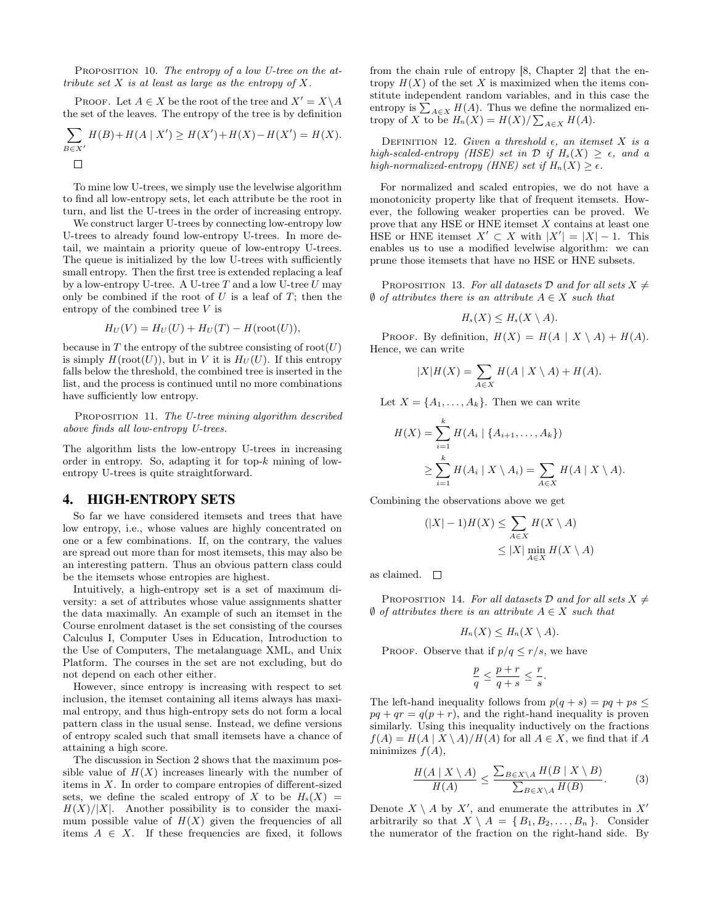PROPOSITION 10. The entropy of a low U-tree on the attribute set  $X$  is at least as large as the entropy of  $X$ .

PROOF. Let  $A \in X$  be the root of the tree and  $X' = X \setminus A$ the set of the leaves. The entropy of the tree is by definition

$$
\sum_{B \in X'} H(B) + H(A \mid X') \ge H(X') + H(X) - H(X') = H(X).
$$

To mine low U-trees, we simply use the levelwise algorithm to find all low-entropy sets, let each attribute be the root in turn, and list the U-trees in the order of increasing entropy.

We construct larger U-trees by connecting low-entropy low U-trees to already found low-entropy U-trees. In more detail, we maintain a priority queue of low-entropy U-trees. The queue is initialized by the low U-trees with sufficiently small entropy. Then the first tree is extended replacing a leaf by a low-entropy U-tree. A U-tree  $T$  and a low U-tree  $U$  may only be combined if the root of  $U$  is a leaf of  $T$ ; then the entropy of the combined tree  $V$  is

$$
H_U(V) = H_U(U) + H_U(T) - H(\text{root}(U)),
$$

because in  $T$  the entropy of the subtree consisting of  $root(U)$ is simply  $H(\text{root}(U))$ , but in V it is  $H_U(U)$ . If this entropy falls below the threshold, the combined tree is inserted in the list, and the process is continued until no more combinations have sufficiently low entropy.

PROPOSITION 11. The U-tree mining algorithm described above finds all low-entropy U-trees.

The algorithm lists the low-entropy U-trees in increasing order in entropy. So, adapting it for top- $k$  mining of lowentropy U-trees is quite straightforward.

# 4. HIGH-ENTROPY SETS

So far we have considered itemsets and trees that have low entropy, i.e., whose values are highly concentrated on one or a few combinations. If, on the contrary, the values are spread out more than for most itemsets, this may also be an interesting pattern. Thus an obvious pattern class could be the itemsets whose entropies are highest.

Intuitively, a high-entropy set is a set of maximum diversity: a set of attributes whose value assignments shatter the data maximally. An example of such an itemset in the Course enrolment dataset is the set consisting of the courses Calculus I, Computer Uses in Education, Introduction to the Use of Computers, The metalanguage XML, and Unix Platform. The courses in the set are not excluding, but do not depend on each other either.

However, since entropy is increasing with respect to set inclusion, the itemset containing all items always has maximal entropy, and thus high-entropy sets do not form a local pattern class in the usual sense. Instead, we define versions of entropy scaled such that small itemsets have a chance of attaining a high score.

The discussion in Section 2 shows that the maximum possible value of  $H(X)$  increases linearly with the number of items in  $X$ . In order to compare entropies of different-sized sets, we define the scaled entropy of X to be  $H_s(X) =$  $H(X)/|X|$ . Another possibility is to consider the maximum possible value of  $H(X)$  given the frequencies of all items  $A \in X$ . If these frequencies are fixed, it follows

from the chain rule of entropy [8, Chapter 2] that the entropy  $H(X)$  of the set X is maximized when the items constitute independent random variables, and in this case the entropy is  $\sum_{A \in X} H(A)$ . Thus we define the normalized entropy of X to be  $H_n(X) = H(X)/\sum_{A \in X} H(A)$ .

DEFINITION 12. Given a threshold  $\epsilon$ , an itemset X is a high-scaled-entropy (HSE) set in  $\mathcal D$  if  $H_s(X) \geq \epsilon$ , and a high-normalized-entropy (HNE) set if  $H_n(X) \geq \epsilon$ .

For normalized and scaled entropies, we do not have a monotonicity property like that of frequent itemsets. However, the following weaker properties can be proved. We prove that any HSE or HNE itemset  $X$  contains at least one HSE or HNE itemset  $X' \subset X$  with  $|X'| = |X| - 1$ . This enables us to use a modified levelwise algorithm: we can prune those itemsets that have no HSE or HNE subsets.

PROPOSITION 13. For all datasets  $\mathcal D$  and for all sets  $X \neq$  $\emptyset$  of attributes there is an attribute  $A \in X$  such that

$$
H_s(X) \leq H_s(X \setminus A).
$$

PROOF. By definition,  $H(X) = H(A | X \setminus A) + H(A)$ . Hence, we can write

$$
|X|H(X) = \sum_{A \in X} H(A \mid X \setminus A) + H(A).
$$

Let  $X = \{A_1, \ldots, A_k\}$ . Then we can write

$$
H(X) = \sum_{i=1}^{k} H(A_i | \{A_{i+1},..., A_k\})
$$
  
\n
$$
\geq \sum_{i=1}^{k} H(A_i | X \setminus A_i) = \sum_{A \in X} H(A | X \setminus A).
$$

Combining the observations above we get

$$
(|X| - 1)H(X) \le \sum_{A \in X} H(X \setminus A)
$$
  

$$
\le |X| \min_{A \in X} H(X \setminus A)
$$

as claimed.  $\square$ 

PROPOSITION 14. For all datasets  $\mathcal D$  and for all sets  $X \neq$  $\emptyset$  of attributes there is an attribute  $A \in X$  such that

$$
H_n(X) \leq H_n(X \setminus A).
$$

PROOF. Observe that if  $p/q \leq r/s$ , we have

$$
\frac{p}{q}\leq \frac{p+r}{q+s}\leq \frac{r}{s}.
$$

The left-hand inequality follows from  $p(q + s) = pq + ps$  $pq + qr = q(p + r)$ , and the right-hand inequality is proven similarly. Using this inequality inductively on the fractions  $f(A) = H(A | X \setminus A)/H(A)$  for all  $A \in X$ , we find that if A minimizes  $f(A)$ ,

$$
\frac{H(A \mid X \setminus A)}{H(A)} \le \frac{\sum_{B \in X \setminus A} H(B \mid X \setminus B)}{\sum_{B \in X \setminus A} H(B)}.\tag{3}
$$

Denote  $X \setminus A$  by  $X'$ , and enumerate the attributes in  $X'$ arbitrarily so that  $X \setminus A = \{B_1, B_2, \ldots, B_n\}$ . Consider the numerator of the fraction on the right-hand side. By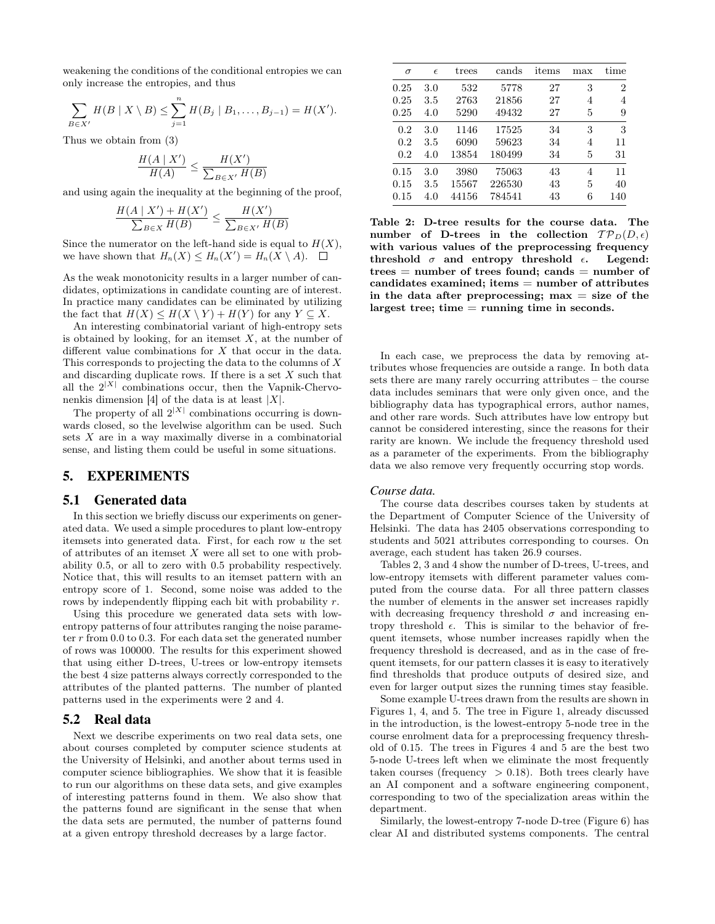weakening the conditions of the conditional entropies we can only increase the entropies, and thus

$$
\sum_{B \in X'} H(B \mid X \setminus B) \leq \sum_{j=1}^n H(B_j \mid B_1, \ldots, B_{j-1}) = H(X').
$$

Thus we obtain from (3)

$$
\frac{H(A \mid X')}{H(A)} \le \frac{H(X')}{\sum_{B \in X'} H(B)}
$$

and using again the inequality at the beginning of the proof,

$$
\frac{H(A \mid X') + H(X')}{\sum_{B \in X} H(B)} \le \frac{H(X')}{\sum_{B \in X'} H(B)}
$$

Since the numerator on the left-hand side is equal to  $H(X)$ , we have shown that  $H_n(X) \leq H_n(X') = H_n(X \setminus A)$ .

As the weak monotonicity results in a larger number of candidates, optimizations in candidate counting are of interest. In practice many candidates can be eliminated by utilizing the fact that  $H(X) \leq H(X \setminus Y) + H(Y)$  for any  $Y \subseteq X$ .

An interesting combinatorial variant of high-entropy sets is obtained by looking, for an itemset  $X$ , at the number of different value combinations for X that occur in the data. This corresponds to projecting the data to the columns of X and discarding duplicate rows. If there is a set  $X$  such that all the  $2^{|X|}$  combinations occur, then the Vapnik-Chervonenkis dimension [4] of the data is at least  $|X|$ .

The property of all  $2^{|X|}$  combinations occurring is downwards closed, so the levelwise algorithm can be used. Such sets  $X$  are in a way maximally diverse in a combinatorial sense, and listing them could be useful in some situations.

# 5. EXPERIMENTS

# 5.1 Generated data

In this section we briefly discuss our experiments on generated data. We used a simple procedures to plant low-entropy itemsets into generated data. First, for each row  $u$  the set of attributes of an itemset  $X$  were all set to one with probability 0.5, or all to zero with 0.5 probability respectively. Notice that, this will results to an itemset pattern with an entropy score of 1. Second, some noise was added to the rows by independently flipping each bit with probability r.

Using this procedure we generated data sets with lowentropy patterns of four attributes ranging the noise parameter  $r$  from 0.0 to 0.3. For each data set the generated number of rows was 100000. The results for this experiment showed that using either D-trees, U-trees or low-entropy itemsets the best 4 size patterns always correctly corresponded to the attributes of the planted patterns. The number of planted patterns used in the experiments were 2 and 4.

### 5.2 Real data

Next we describe experiments on two real data sets, one about courses completed by computer science students at the University of Helsinki, and another about terms used in computer science bibliographies. We show that it is feasible to run our algorithms on these data sets, and give examples of interesting patterns found in them. We also show that the patterns found are significant in the sense that when the data sets are permuted, the number of patterns found at a given entropy threshold decreases by a large factor.

| $\sigma$ | $\epsilon$ | trees | cands  | items | max | time           |
|----------|------------|-------|--------|-------|-----|----------------|
| 0.25     | 3.0        | 532   | 5778   | 27    | 3   | $\overline{2}$ |
| 0.25     | 3.5        | 2763  | 21856  | 27    | 4   | $\overline{4}$ |
| 0.25     | 4.0        | 5290  | 49432  | 27    | 5   | 9              |
| 0.2      | 3.0        | 1146  | 17525  | 34    | 3   | 3              |
| 0.2      | 3.5        | 6090  | 59623  | 34    | 4   | 11             |
| 0.2      | 4.0        | 13854 | 180499 | 34    | 5   | 31             |
| 0.15     | 3.0        | 3980  | 75063  | 43    | 4   | 11             |
| 0.15     | 3.5        | 15567 | 226530 | 43    | 5   | 40             |
| 0.15     | 4.0        | 44156 | 784541 | 43    | 6   | 140            |
|          |            |       |        |       |     |                |

Table 2: D-tree results for the course data. The number of D-trees in the collection  $\mathcal{TP}_D(D, \epsilon)$ with various values of the preprocessing frequency threshold  $\sigma$  and entropy threshold  $\epsilon$ . Legend:  $trees = number of trees found; can ds = number of$  $candidates examined; items = number of attributes$ in the data after preprocessing; max  $=$  size of the largest tree; time  $=$  running time in seconds.

In each case, we preprocess the data by removing attributes whose frequencies are outside a range. In both data sets there are many rarely occurring attributes – the course data includes seminars that were only given once, and the bibliography data has typographical errors, author names, and other rare words. Such attributes have low entropy but cannot be considered interesting, since the reasons for their rarity are known. We include the frequency threshold used as a parameter of the experiments. From the bibliography data we also remove very frequently occurring stop words.

#### *Course data.*

The course data describes courses taken by students at the Department of Computer Science of the University of Helsinki. The data has 2405 observations corresponding to students and 5021 attributes corresponding to courses. On average, each student has taken 26.9 courses.

Tables 2, 3 and 4 show the number of D-trees, U-trees, and low-entropy itemsets with different parameter values computed from the course data. For all three pattern classes the number of elements in the answer set increases rapidly with decreasing frequency threshold  $\sigma$  and increasing entropy threshold  $\epsilon$ . This is similar to the behavior of frequent itemsets, whose number increases rapidly when the frequency threshold is decreased, and as in the case of frequent itemsets, for our pattern classes it is easy to iteratively find thresholds that produce outputs of desired size, and even for larger output sizes the running times stay feasible.

Some example U-trees drawn from the results are shown in Figures 1, 4, and 5. The tree in Figure 1, already discussed in the introduction, is the lowest-entropy 5-node tree in the course enrolment data for a preprocessing frequency threshold of 0.15. The trees in Figures 4 and 5 are the best two 5-node U-trees left when we eliminate the most frequently taken courses (frequency  $> 0.18$ ). Both trees clearly have an AI component and a software engineering component, corresponding to two of the specialization areas within the department.

Similarly, the lowest-entropy 7-node D-tree (Figure 6) has clear AI and distributed systems components. The central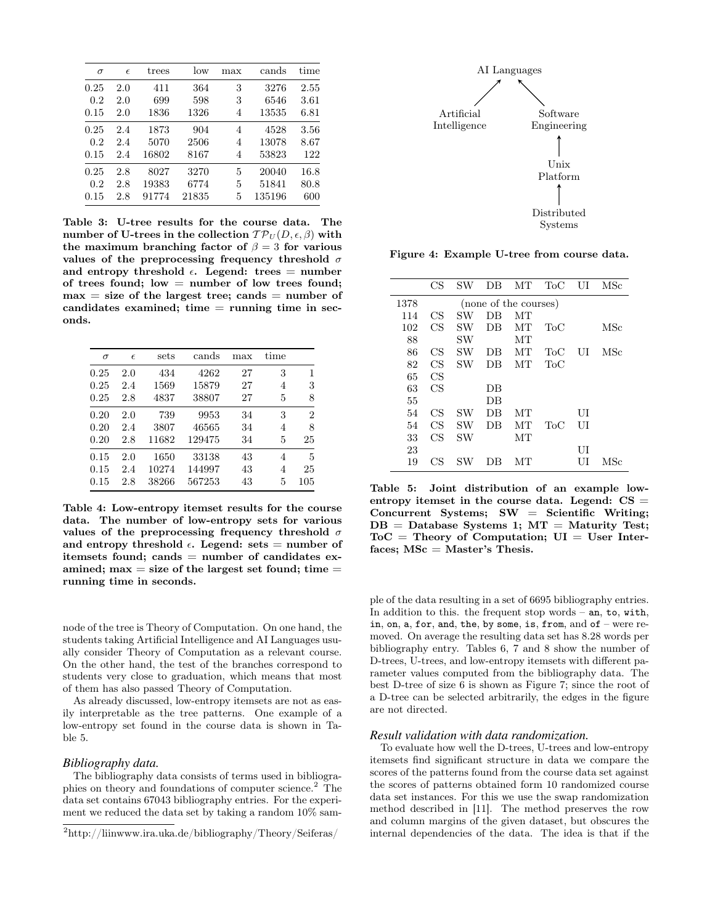| $\sigma$ | $\epsilon$ | trees | low   | max | cands  | time |
|----------|------------|-------|-------|-----|--------|------|
| 0.25     | 2.0        | 411   | 364   | 3   | 3276   | 2.55 |
| 0.2      | 2.0        | 699   | 598   | 3   | 6546   | 3.61 |
| 0.15     | 2.0        | 1836  | 1326  | 4   | 13535  | 6.81 |
| 0.25     | 2.4        | 1873  | 904   | 4   | 4528   | 3.56 |
| 0.2      | 2.4        | 5070  | 2506  | 4   | 13078  | 8.67 |
| 0.15     | 2.4        | 16802 | 8167  | 4   | 53823  | 122  |
| 0.25     | 2.8        | 8027  | 3270  | 5   | 20040  | 16.8 |
| 0.2      | 2.8        | 19383 | 6774  | 5   | 51841  | 80.8 |
| 0.15     | 2.8        | 91774 | 21835 | 5   | 135196 | 600  |

Table 3: U-tree results for the course data. The number of U-trees in the collection  $\mathcal{TP}_{U}(D, \epsilon, \beta)$  with the maximum branching factor of  $\beta = 3$  for various values of the preprocessing frequency threshold  $\sigma$ and entropy threshold  $\epsilon$ . Legend: trees = number of trees found; low  $=$  number of low trees found;  $max = size of the largest tree; cards = number of$ candidates examined; time  $=$  running time in seconds.

| $\sigma$ | $\epsilon$ | sets  | cands  | max | time |                |
|----------|------------|-------|--------|-----|------|----------------|
| $0.25\,$ | 2.0        | 434   | 4262   | 27  | 3    | 1              |
| 0.25     | 2.4        | 1569  | 15879  | 27  | 4    | 3              |
| 0.25     | 2.8        | 4837  | 38807  | 27  | 5    | 8              |
| 0.20     | 2.0        | 739   | 9953   | 34  | 3    | $\overline{2}$ |
| 0.20     | 2.4        | 3807  | 46565  | 34  | 4    | 8              |
| 0.20     | 2.8        | 11682 | 129475 | 34  | 5    | 25             |
| 0.15     | 2.0        | 1650  | 33138  | 43  | 4    | $\overline{5}$ |
| $0.15\,$ | 2.4        | 10274 | 144997 | 43  | 4    | 25             |
| 0.15     | 2.8        | 38266 | 567253 | 43  | 5    | 105            |

Table 4: Low-entropy itemset results for the course data. The number of low-entropy sets for various values of the preprocessing frequency threshold  $\sigma$ and entropy threshold  $\epsilon$ . Legend: sets = number of itemsets found; cands = number of candidates examined; max  $=$  size of the largest set found; time  $=$ running time in seconds.

node of the tree is Theory of Computation. On one hand, the students taking Artificial Intelligence and AI Languages usually consider Theory of Computation as a relevant course. On the other hand, the test of the branches correspond to students very close to graduation, which means that most of them has also passed Theory of Computation.

As already discussed, low-entropy itemsets are not as easily interpretable as the tree patterns. One example of a low-entropy set found in the course data is shown in Table 5.

### *Bibliography data.*

The bibliography data consists of terms used in bibliographies on theory and foundations of computer science.<sup>2</sup> The data set contains 67043 bibliography entries. For the experiment we reduced the data set by taking a random 10% sam-



Figure 4: Example U-tree from course data.

|      | CS | SW | DВ   | MТ                    | ToC | UI | MSc |
|------|----|----|------|-----------------------|-----|----|-----|
| 1378 |    |    |      | (none of the courses) |     |    |     |
| 114  | CS | SW | DВ   | MТ                    |     |    |     |
| 102  | CS | SW | DВ   | MТ                    | ToC |    | MSc |
| 88   |    | SW |      | MТ                    |     |    |     |
| 86   | CS | SW | DВ   | MТ                    | ToC | UI | MSc |
| 82   | CS | SW | DB   | MТ                    | ToC |    |     |
| 65   | CS |    |      |                       |     |    |     |
| 63   | CS |    | DВ   |                       |     |    |     |
| 55   |    |    | $DB$ |                       |     |    |     |
| 54   | CS | SW | DВ   | MТ                    |     | UI |     |
| 54   | CS | SW | DB   | MТ                    | ToC | UI |     |
| 33   | CS | SW |      | MТ                    |     |    |     |
| 23   |    |    |      |                       |     | UІ |     |
| 19   | CS | SW | DВ   | MТ                    |     | UI | MSc |

Table 5: Joint distribution of an example lowentropy itemset in the course data. Legend:  $CS =$ Concurrent Systems; SW = Scientific Writing;  $DB = Database Systems 1; MT = Maturity Test;$  $ToC = Theory of Computation; UI = User Inter$ faces;  $MSc = Master's Thesis.$ 

ple of the data resulting in a set of 6695 bibliography entries. In addition to this, the frequent stop words – an, to, with, in, on, a, for, and, the, by some, is, from, and of  $-$  were removed. On average the resulting data set has 8.28 words per bibliography entry. Tables 6, 7 and 8 show the number of D-trees, U-trees, and low-entropy itemsets with different parameter values computed from the bibliography data. The best D-tree of size 6 is shown as Figure 7; since the root of a D-tree can be selected arbitrarily, the edges in the figure are not directed.

#### *Result validation with data randomization.*

To evaluate how well the D-trees, U-trees and low-entropy itemsets find significant structure in data we compare the scores of the patterns found from the course data set against the scores of patterns obtained form 10 randomized course data set instances. For this we use the swap randomization method described in [11]. The method preserves the row and column margins of the given dataset, but obscures the internal dependencies of the data. The idea is that if the

<sup>2</sup>http://liinwww.ira.uka.de/bibliography/Theory/Seiferas/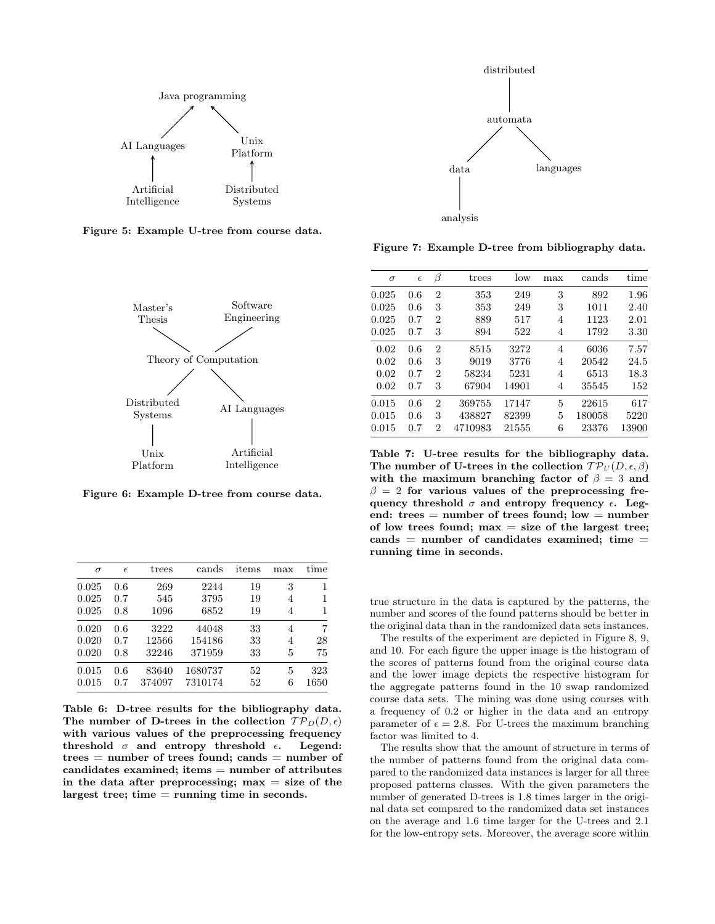

Figure 5: Example U-tree from course data.



Figure 6: Example D-tree from course data.

| time | max | items | cands   | trees  | $\epsilon$ | $\sigma$ |
|------|-----|-------|---------|--------|------------|----------|
| 1    | 3   | 19    | 2244    | 269    | 0.6        | 0.025    |
|      | 4   | 19    | 3795    | 545    | 0.7        | 0.025    |
| 1    | 4   | 19    | 6852    | 1096   | 0.8        | 0.025    |
| 7    | 4   | 33    | 44048   | 3222   | 0.6        | 0.020    |
| 28   | 4   | 33    | 154186  | 12566  | 0.7        | 0.020    |
| 75   | 5   | 33    | 371959  | 32246  | 0.8        | 0.020    |
| 323  | 5   | 52    | 1680737 | 83640  | 0.6        | 0.015    |
| 1650 | 6   | 52    | 7310174 | 374097 | 0.7        | 0.015    |
|      |     |       |         |        |            |          |

Table 6: D-tree results for the bibliography data. The number of D-trees in the collection  $\mathcal{TP}_D(D, \epsilon)$ with various values of the preprocessing frequency threshold  $\sigma$  and entropy threshold  $\epsilon$ . Legend:  $trees = number of trees found; can ds = number of$  $candidates examined; items = number of attributes$ in the data after preprocessing; max  $=$  size of the largest tree; time  $=$  running time in seconds.



Figure 7: Example D-tree from bibliography data.

| $\sigma$ | $\epsilon$ | β              | trees   | low   | max | cands  | time  |
|----------|------------|----------------|---------|-------|-----|--------|-------|
| 0.025    | 0.6        | 2              | 353     | 249   | 3   | 892    | 1.96  |
| 0.025    | 0.6        | 3              | 353     | 249   | 3   | 1011   | 2.40  |
| 0.025    | 0.7        | $\overline{2}$ | 889     | 517   | 4   | 1123   | 2.01  |
| 0.025    | 0.7        | 3              | 894     | 522   | 4   | 1792   | 3.30  |
| 0.02     | 0.6        | $\overline{2}$ | 8515    | 3272  | 4   | 6036   | 7.57  |
| 0.02     | 0.6        | 3              | 9019    | 3776  | 4   | 20542  | 24.5  |
| 0.02     | 0.7        | $\overline{2}$ | 58234   | 5231  | 4   | 6513   | 18.3  |
| 0.02     | 0.7        | 3              | 67904   | 14901 | 4   | 35545  | 152   |
| 0.015    | 0.6        | 2              | 369755  | 17147 | 5   | 22615  | 617   |
| 0.015    | 0.6        | 3              | 438827  | 82399 | 5   | 180058 | 5220  |
| 0.015    | 0.7        | 2              | 4710983 | 21555 | 6   | 23376  | 13900 |

Table 7: U-tree results for the bibliography data. The number of U-trees in the collection  $\mathcal{TP}_U(D, \epsilon, \beta)$ with the maximum branching factor of  $\beta = 3$  and  $\beta = 2$  for various values of the preprocessing frequency threshold  $\sigma$  and entropy frequency  $\epsilon$ . Legend: trees  $=$  number of trees found; low  $=$  number of low trees found; max  $=$  size of the largest tree;  $cands = number of candidates examined; time =$ running time in seconds.

true structure in the data is captured by the patterns, the number and scores of the found patterns should be better in the original data than in the randomized data sets instances.

The results of the experiment are depicted in Figure 8, 9, and 10. For each figure the upper image is the histogram of the scores of patterns found from the original course data and the lower image depicts the respective histogram for the aggregate patterns found in the 10 swap randomized course data sets. The mining was done using courses with a frequency of 0.2 or higher in the data and an entropy parameter of  $\epsilon = 2.8$ . For U-trees the maximum branching factor was limited to 4.

The results show that the amount of structure in terms of the number of patterns found from the original data compared to the randomized data instances is larger for all three proposed patterns classes. With the given parameters the number of generated D-trees is 1.8 times larger in the original data set compared to the randomized data set instances on the average and 1.6 time larger for the U-trees and 2.1 for the low-entropy sets. Moreover, the average score within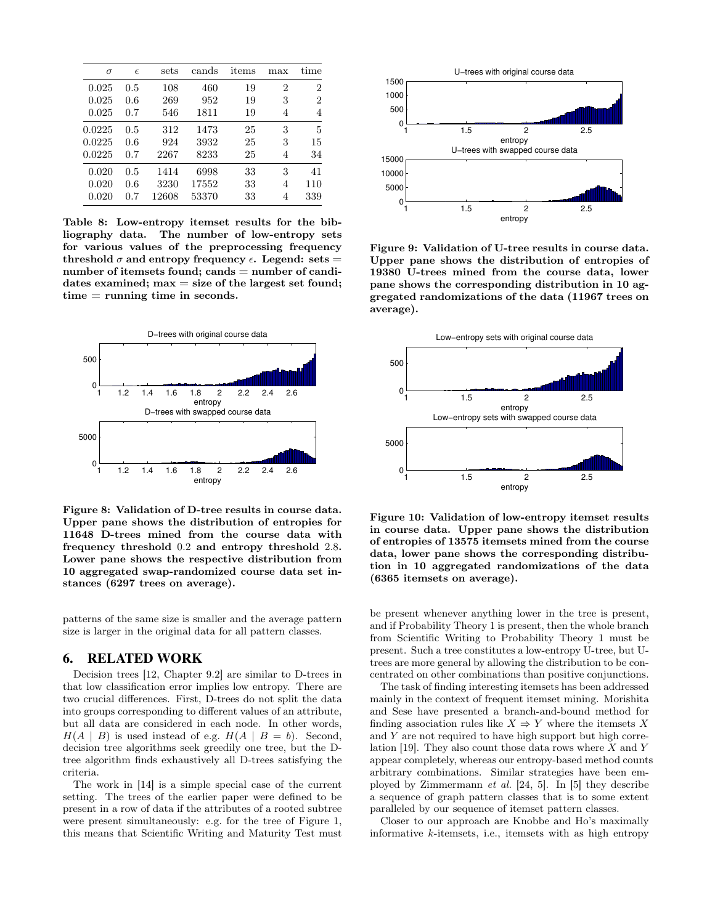| $\sigma$ | $\epsilon$ | sets  | cands | items | max | time           |
|----------|------------|-------|-------|-------|-----|----------------|
| 0.025    | 0.5        | 108   | 460   | 19    | 2   | $\overline{2}$ |
| 0.025    | 0.6        | 269   | 952   | 19    | 3   | $\overline{2}$ |
| 0.025    | 0.7        | 546   | 1811  | 19    | 4   | 4              |
| 0.0225   | 0.5        | 312   | 1473  | 25    | 3   | $\overline{5}$ |
| 0.0225   | 0.6        | 924   | 3932  | 25    | 3   | 15             |
| 0.0225   | 0.7        | 2267  | 8233  | 25    | 4   | 34             |
| 0.020    | 0.5        | 1414  | 6998  | 33    | 3   | 41             |
| 0.020    | 0.6        | 3230  | 17552 | 33    | 4   | 110            |
| 0.020    | 0.7        | 12608 | 53370 | 33    | 4   | 339            |

Table 8: Low-entropy itemset results for the bibliography data. The number of low-entropy sets for various values of the preprocessing frequency threshold  $\sigma$  and entropy frequency  $\epsilon$ . Legend: sets = number of itemsets found; cands  $=$  number of candidates examined;  $max = size of the largest set found;$ time = running time in seconds.



Figure 8: Validation of D-tree results in course data. Upper pane shows the distribution of entropies for 11648 D-trees mined from the course data with frequency threshold 0.2 and entropy threshold 2.8. Lower pane shows the respective distribution from 10 aggregated swap-randomized course data set instances (6297 trees on average).

patterns of the same size is smaller and the average pattern size is larger in the original data for all pattern classes.

### 6. RELATED WORK

Decision trees [12, Chapter 9.2] are similar to D-trees in that low classification error implies low entropy. There are two crucial differences. First, D-trees do not split the data into groups corresponding to different values of an attribute, but all data are considered in each node. In other words,  $H(A | B)$  is used instead of e.g.  $H(A | B = b)$ . Second, decision tree algorithms seek greedily one tree, but the Dtree algorithm finds exhaustively all D-trees satisfying the criteria.

The work in [14] is a simple special case of the current setting. The trees of the earlier paper were defined to be present in a row of data if the attributes of a rooted subtree were present simultaneously: e.g. for the tree of Figure 1, this means that Scientific Writing and Maturity Test must



Figure 9: Validation of U-tree results in course data. Upper pane shows the distribution of entropies of 19380 U-trees mined from the course data, lower pane shows the corresponding distribution in 10 aggregated randomizations of the data (11967 trees on average).



Figure 10: Validation of low-entropy itemset results in course data. Upper pane shows the distribution of entropies of 13575 itemsets mined from the course data, lower pane shows the corresponding distribution in 10 aggregated randomizations of the data (6365 itemsets on average).

be present whenever anything lower in the tree is present, and if Probability Theory 1 is present, then the whole branch from Scientific Writing to Probability Theory 1 must be present. Such a tree constitutes a low-entropy U-tree, but Utrees are more general by allowing the distribution to be concentrated on other combinations than positive conjunctions.

The task of finding interesting itemsets has been addressed mainly in the context of frequent itemset mining. Morishita and Sese have presented a branch-and-bound method for finding association rules like  $X \Rightarrow Y$  where the itemsets X and Y are not required to have high support but high correlation [19]. They also count those data rows where  $X$  and  $Y$ appear completely, whereas our entropy-based method counts arbitrary combinations. Similar strategies have been employed by Zimmermann et al. [24, 5]. In [5] they describe a sequence of graph pattern classes that is to some extent paralleled by our sequence of itemset pattern classes.

Closer to our approach are Knobbe and Ho's maximally informative k-itemsets, i.e., itemsets with as high entropy